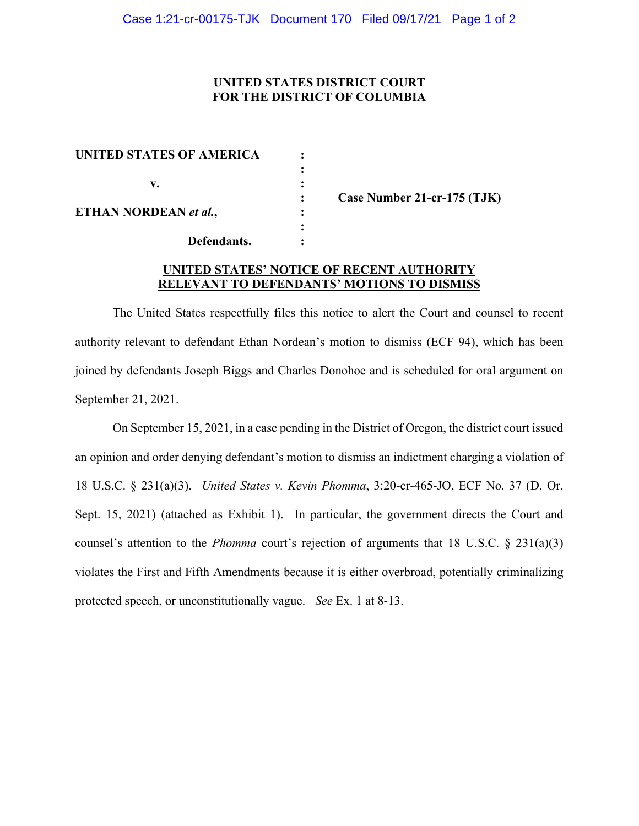# **UNITED STATES DISTRICT COURT FOR THE DISTRICT OF COLUMBIA**

| <b>UNITED STATES OF AMERICA</b> |  |
|---------------------------------|--|
|                                 |  |
| v.                              |  |
|                                 |  |
| ETHAN NORDEAN et al.,           |  |
|                                 |  |
| Defendants.                     |  |

**: Case Number 21-cr-175 (TJK)**

# **UNITED STATES' NOTICE OF RECENT AUTHORITY RELEVANT TO DEFENDANTS' MOTIONS TO DISMISS**

The United States respectfully files this notice to alert the Court and counsel to recent authority relevant to defendant Ethan Nordean's motion to dismiss (ECF 94), which has been joined by defendants Joseph Biggs and Charles Donohoe and is scheduled for oral argument on September 21, 2021.

On September 15, 2021, in a case pending in the District of Oregon, the district court issued an opinion and order denying defendant's motion to dismiss an indictment charging a violation of 18 U.S.C. § 231(a)(3). *United States v. Kevin Phomma*, 3:20-cr-465-JO, ECF No. 37 (D. Or. Sept. 15, 2021) (attached as Exhibit 1). In particular, the government directs the Court and counsel's attention to the *Phomma* court's rejection of arguments that 18 U.S.C. § 231(a)(3) violates the First and Fifth Amendments because it is either overbroad, potentially criminalizing protected speech, or unconstitutionally vague. *See* Ex. 1 at 8-13.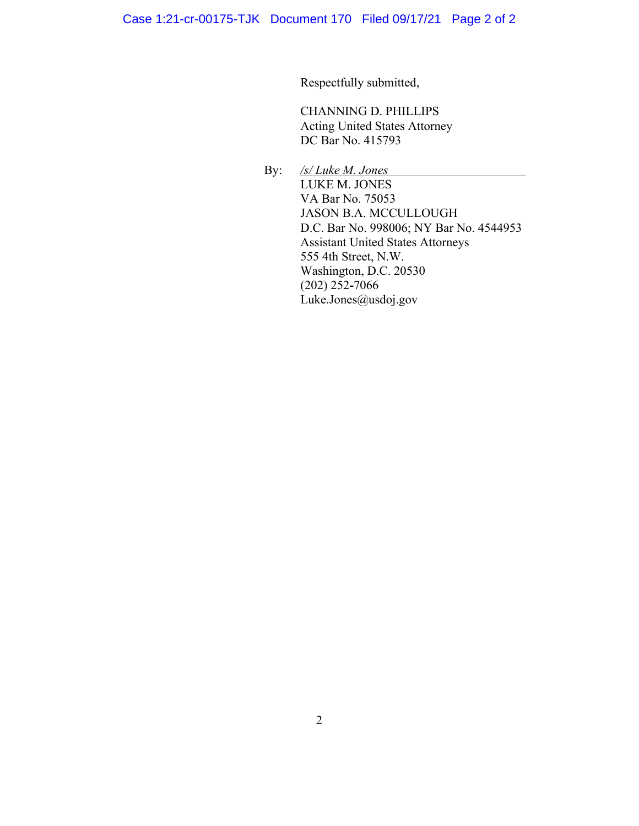Respectfully submitted,

CHANNING D. PHILLIPS Acting United States Attorney DC Bar No. 415793

 By: */s/ Luke M. Jones* LUKE M. JONES VA Bar No. 75053 JASON B.A. MCCULLOUGH D.C. Bar No. 998006; NY Bar No. 4544953 Assistant United States Attorneys 555 4th Street, N.W. Washington, D.C. 20530 (202) 252**-**7066 Luke.Jones@usdoj.gov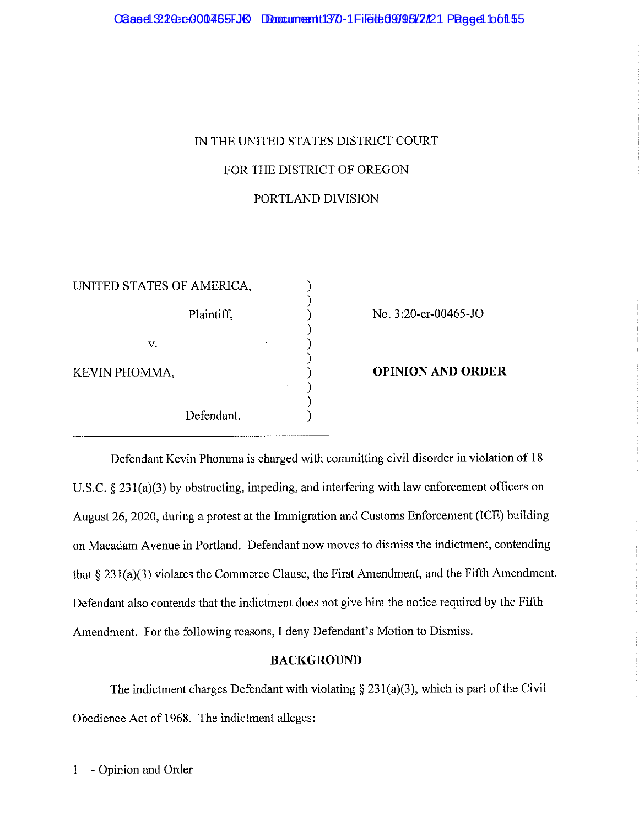# IN THE UNITED STATES DISTRICT COURT FOR THE DISTRICT OF OREGON PORTLAND DIVISION

| UNITED STATES OF AMERICA, |            |  |
|---------------------------|------------|--|
|                           |            |  |
|                           | Plaintiff, |  |
|                           |            |  |
| V.                        |            |  |
|                           |            |  |
| KEVIN PHOMMA,             |            |  |
|                           |            |  |
|                           |            |  |
|                           | Defendant. |  |

No. 3:20-cr-00465-JO

**OPINION AND ORDER** 

Defendant Kevin Phonnna is charged with committing civil disorder in violation of 18 U.S.C. § 231(a)(3) by obstructing, impeding, and interfering with law enforcement officers on August 26, 2020, during a protest at the Innnigration and Customs Enforcement (ICE) building on Macadam Avenue in Portland. Defendant now moves to dismiss the indictment, contending that§ 23 l(a)(3) violates the Commerce Clause, the First Amendment, and the Fifth Amendment. Defendant also contends that the indictment does not give him the notice required by the Fifth Amendment. For the following reasons, I deny Defendant's Motion to Dismiss.

# **BACKGROUND**

The indictment charges Defendant with violating  $\S 231(a)(3)$ , which is part of the Civil Obedience Act of 1968. The indictment alleges: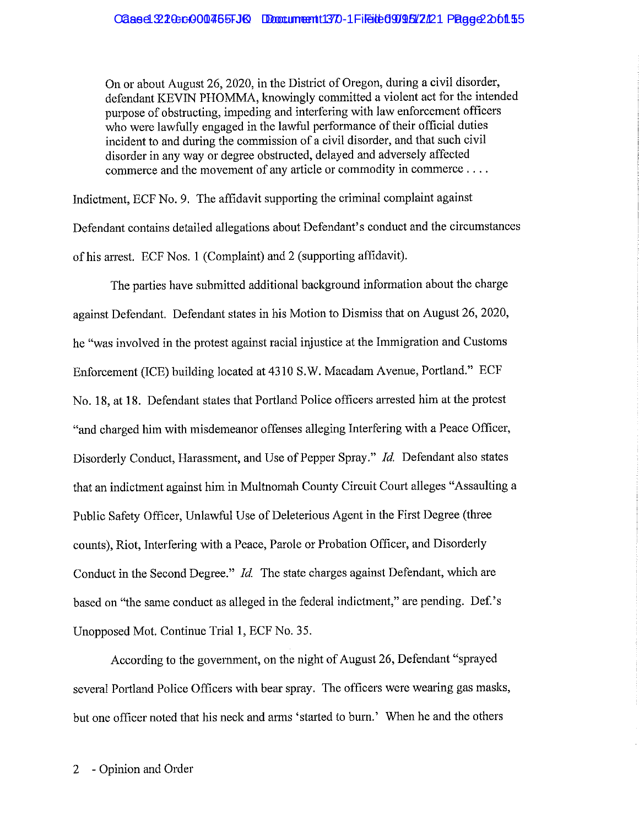On or about August 26, 2020, in the District of Oregon, during a civil disorder, defendant KEVIN PHOMMA, knowingly committed a violent act for the intended purpose of obstructing, impeding and interfering with law enforcement officers who were lawfully engaged in the lawful performance of their official duties incident to and during the commission of a civil disorder, and that such civil disorder in any way or degree obstructed, delayed and adversely affected commerce and the movement of any article or commodity in commerce ....

Indictment, ECF No. 9. The affidavit supporting the criminal complaint against Defendant contains detailed allegations about Defendant's conduct and the circumstances of his arrest. ECF Nos. 1 (Complaint) and 2 (supporting affidavit).

The parties have submitted additional background information about the charge against Defendant. Defendant states in his Motion to Dismiss that on August 26, 2020, he "was involved in the protest against racial injustice at the Immigration and Customs Enforcement (ICE) building located at 4310 S.W. Macadam Avenue, Portland." ECF No. 18, at 18. Defendant states that Portland Police officers arrested him at the protest "and charged him with misdemeanor offenses alleging Interfering with a Peace Officer, Disorderly Conduct, Harassment, and Use of Pepper Spray." *Id.* Defendant also states that an indictment against him in Multnomah County Circuit Court alleges "Assaulting a Public Safety Officer, Unlawful Use of Deleterious Agent in the First Degree (three counts), Riot, Interfering with a Peace, Parole or Probation Officer, and Disorderly Conduct in the Second Degree." *Id.* The state charges against Defendant, which are based on "the same conduct as alleged in the federal indictment," are pending. Def.'s Unopposed Mot. Continue Trial 1, ECF No. 35.

According to the government, on the night of August 26, Defendant "sprayed several Potiland Police Officers with bear spray. The officers were wearing gas masks, but one officer noted that his neck and arms 'started to burn.' When he and the others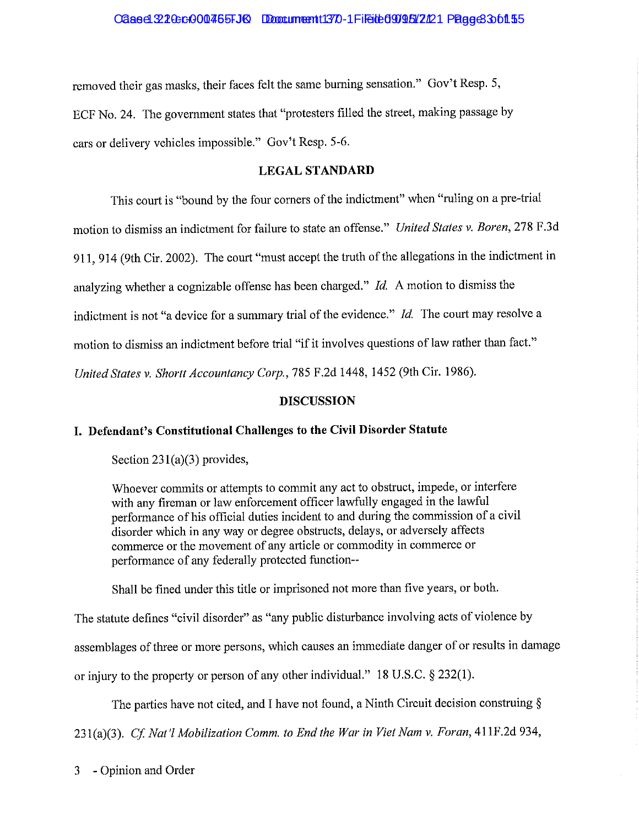#### Cased 320-cr000455-JQ Document 1370-1 Filed 090812121 Page 33 of 15

removed their gas masks, their faces felt the same burning sensation." Gov't Resp. 5, ECF No. 24. The government states that "protesters filled the street, making passage by cars or delivety vehicles impossible." Gov't Resp. 5-6.

## **LEGAL STANDARD**

This court is "bound by the four corners of the indictment" when "ruling on a pre-trial motion to dismiss an indictment for failure to state an offense." *United States v. Boren,* 278 F.3d 911, 914 (9th Cir. 2002). The court "must accept the truth of the allegations in the indictment in analyzing whether a cognizable offense has been charged." *Id.* A motion to dismiss the indictment is not "a device for a summary trial of the evidence." *Id.* The court may resolve a motion to dismiss an indictment before trial "if it involves questions of law rather than fact." *United States v. Shortt Accountancy Corp.,* 785 F.2d 1448, 1452 (9th Cir. 1986).

#### **DISCUSSION**

# **I. Defendant's Constitutional Challenges to the Civil Disorder Statute**

Section  $231(a)(3)$  provides,

Whoever commits or attempts to commit any act to obstruct, impede, or interfere with any fireman or law enforcement officer lawfully engaged in the lawful performance of his official duties incident to and during the commission of a civil disorder which in any way or degree obstructs, delays, or adversely affects commerce or the movement of any article or commodity in commerce or performance of any federally protected function--

Shall be fined under this title or imprisoned not more than five years, or both.

The statute defines "civil disorder" as "any public disturbance involving acts of violence by

assemblages of three or more persons, which causes an immediate danger of or results in damage

or injury to the property or person of any other individual." 18 U.S.C. § 232(1).

The parties have not cited, and I have not found, a Ninth Circuit decision construing  $\S$ 

23l(a)(3). *Cf Nat'l Mobilization Comm. to End the War in Viet Nam v. Foran,* 41 IF.2d 934,

3 - Opinion and Order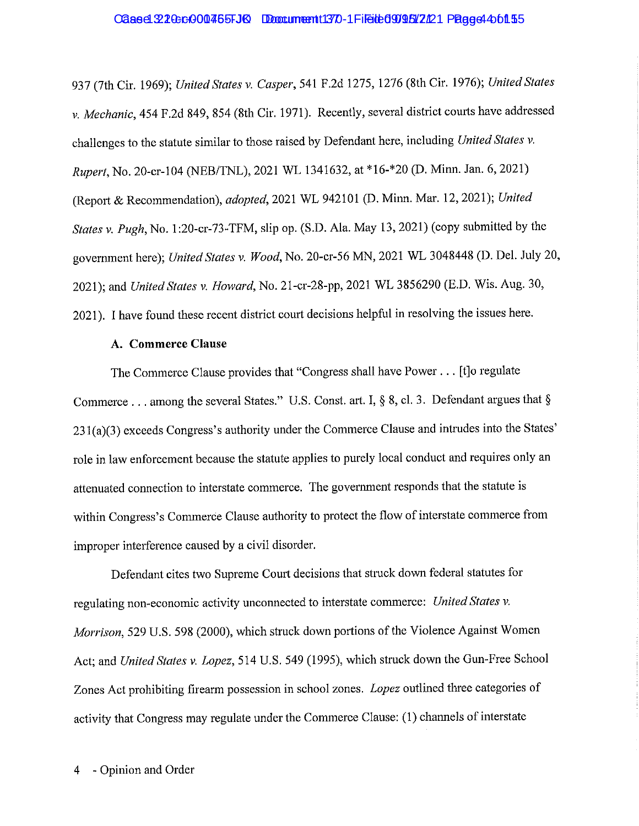## Cased 3210:c000465FJ6 Document 1370-1 Filed 09095 2121 Page 4 4 of 155

937 (7th Cir. 1969); *United States v. Casper,* 541 F.2d 1275, 1276 (8th Cir. 1976); *United States v. Mechanic,* 454 F.2d 849,854 (8th Cir. 1971). Recently, several district courts have addressed challenges to the statute similar to those raised by Defendant here, including *United States v. Rupert,* No. 20-cr-104 (NEB/TNL), 2021 WL 1341632, at \*16-\*20 (D. Minn. Jan. 6, 2021) (Report & Recommendation), *adopted,* 2021 WL 942101 (D. Minn. Mar. 12, 2021); *United States v. Pugh, No.* 1:20-cr-73-TFM, slip op. (S.D. Ala. May 13, 2021) (copy submitted by the government here); *United States v. Wood,* No. 20-cr-56 MN, 2021 WL 3048448 (D. Del. July 20, 2021); and *United States v. Howard,* No. 21-cr-28-pp, 2021 WL 3856290 (E.D. Wis. Aug. 30, 2021 ). I have found these recent district court decisions helpful in resolving the issues here.

#### **A. Commerce Clause**

The Commerce Clause provides that "Congress shall have Power ... [t]o regulate Commerce . . . among the several States." U.S. Const. art. I, § 8, cl. 3. Defendant argues that § 231(a)(3) exceeds Congress's authority under the Commerce Clause and intrudes into the States' role in law enforcement because the statute applies to purely local conduct and requires only an attenuated connection to interstate commerce. The government responds that the statute is within Congress's Commerce Clause authority to protect the flow of interstate commerce from improper interference caused by a civil disorder.

Defendant cites two Supreme Comt decisions that struck down federal statutes for regulating non-economic activity unconnected to interstate commerce: *United States v. Morrison,* 529 U.S. 598 (2000), which struck down portions of the Violence Against Women Act; and *United States v. Lopez,* 514 U.S. 549 (1995), which struck down the Gun-Free School Zones Act prohibiting firearm possession in school zones. *Lopez* outlined three categories of activity that Congress may regulate under the Commerce Clause: (1) channels of interstate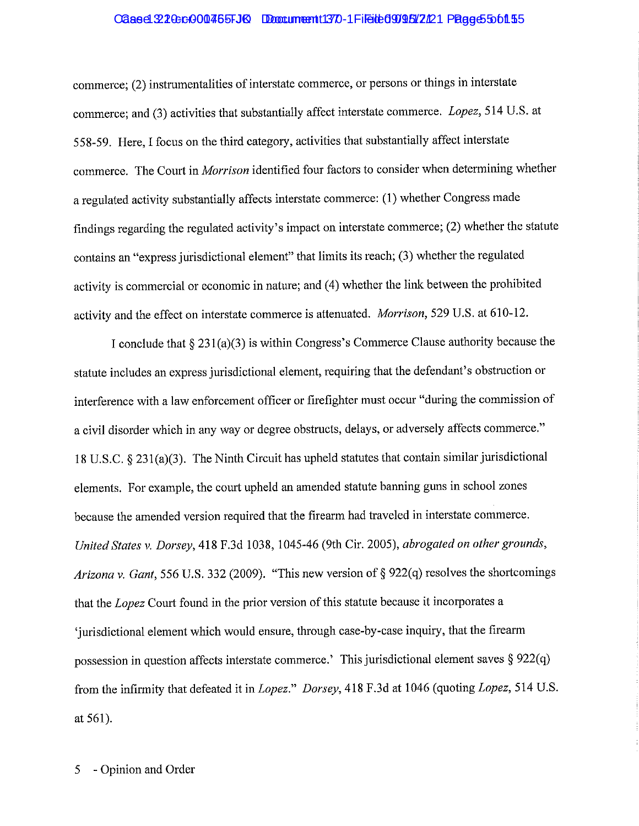#### Cased 220cc000465FJK Document 1370-1 Filed 0995 2121 Page 55 of 15

commerce; (2) instrumentalities of interstate commerce, or persons or things in interstate commerce; and (3) activities that substantially affect interstate commerce. *Lopez,* 514 U.S. at 558-59. Here, I focus on the third category, activities that substantially affect interstate commerce. The Court in *Morrison* identified four factors to consider when determining whether a regulated activity substantially affects interstate commerce: (1) whether Congress made findings regarding the regulated activity's impact on interstate commerce; (2) whether the statute contains an "express jurisdictional element" that limits its reach; (3) whether the regulated activity is commercial or economic in nature; and (4) whether the link between the prohibited activity and the effect on interstate commerce is attenuated. *Morrison,* 529 U.S. at 610-12.

I conclude that  $\S 231(a)(3)$  is within Congress's Commerce Clause authority because the statute includes an express jurisdictional element, requiring that the defendant's obstruction or interference with a law enforcement officer or firefighter must occur "during the commission of a civil disorder which in any way or degree obstructs, delays, or adversely affects commerce." 18 U.S.C. § 231 (a)(3). The Ninth Circuit has upheld statutes that contain similar jurisdictional elements. For example, the court upheld an amended statute banning guns in school zones because the amended version required that the firearm had traveled in interstate commerce. *United States v. Dorsey,* 418 F.3d 1038, 1045-46 (9th Cir. 2005), *abrogated on other grounds, Arizona v. Gant,* 556 U.S. 332 (2009). "This new version of§ 922(q) resolves the shortcomings that the *Lopez* Court found in the prior version of this statute because it incorporates a 'jurisdictional element which would ensure, through case-by-case inquiry, that the firearm possession in question affects interstate commerce.' This jurisdictional element saves  $\S 922(q)$ from the infirmity that defeated it in *Lopez." Dorsey,* 418 F.3d at 1046 (quoting *Lopez,* 514 U.S. at 561).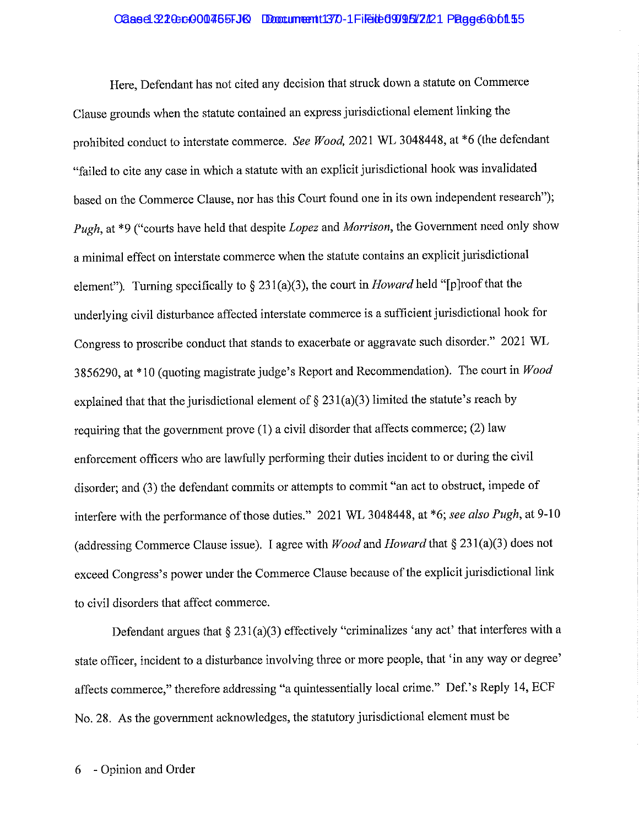#### Cased 220cc000465FJK Document 1370-1 Filed 099522221 Page 6 6 01 55

Here, Defendant has not cited any decision that struck down a statute on Commerce Clause grounds when the statute contained an express jurisdictional element linking the prohibited conduct to interstate commerce. *See Wood,* 2021 WL 3048448, at \*6 (the defendant "failed to cite any case in which a statute with an explicit jurisdictional hook was invalidated based on the Commerce Clause, nor has this Court found one in its own independent research"); *Pugh,* at \*9 ("courts have held that despite *Lopez* and *Morrison,* the Government need only show a minimal effect on interstate commerce when the statute contains an explicit jurisdictional element"). Turning specifically to § 231 (a)(3), the court in *Howard* held "[p ]roof that the underlying civil disturbance affected interstate commerce is a sufficient jurisdictional hook for Congress to proscribe conduct that stands to exacerbate or aggravate such disorder." 2021 WL 3856290, at \*10 (quoting magistrate judge's Report and Recommendation). The court in *Wood*  explained that that the jurisdictional element of  $\S 231(a)(3)$  limited the statute's reach by requiring that the government prove (1) a civil disorder that affects commerce; (2) law enforcement officers who are lawfully performing their duties incident to or during the civil disorder; and (3) the defendant commits or attempts to commit "an act to obstruct, impede of interfere with the performance of those duties." 2021 WL 3048448, at \*6; *see also Pugh,* at 9-10 (addressing Commerce Clause issue). I agree with *Wood* and *Howard* that§ 23 l(a)(3) does not exceed Congress's power under the Commerce Clause because of the explicit jurisdictional link to civil disorders that affect commerce.

Defendant argues that  $\S 231(a)(3)$  effectively "criminalizes 'any act' that interferes with a state officer, incident to a disturbance involving three or more people, that 'in any way or degree' affects commerce," therefore addressing "a quintessentially local crime." Def.'s Reply 14, ECF No. 28. As the government acknowledges, the statutory jurisdictional element must be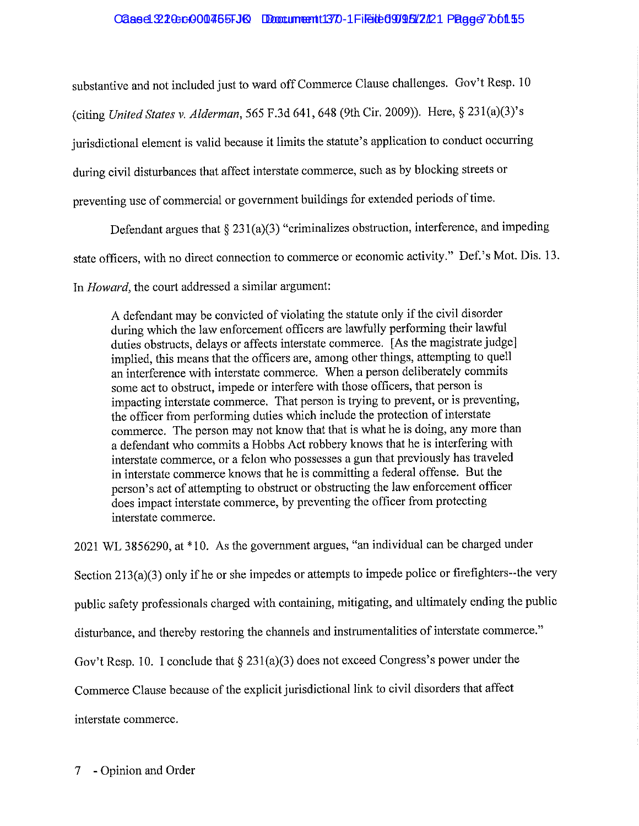#### Caaed 220cc000465FJQ Document 1370-1 Filed 0905/2121 Page 37 of 155

substantive and not included just to ward off Commerce Clause challenges. Gov't Resp. 10

(citing *United States v. Alderman,* 565 F.3d 641,648 (9th Cir. 2009)). Here,§ 23 l(a)(3)'s

jurisdictional element is valid because it limits the statute's application to conduct occurring

during civil disturbances that affect interstate commerce, such as by blocking streets or

preventing use of commercial or government buildings for extended periods of time.

Defendant argues that  $\S 231(a)(3)$  "criminalizes obstruction, interference, and impeding

state officers, with no direct connection to commerce or economic activity." Def. 's Mot. Dis. 13.

In *Howard,* the court addressed a similar argument:

A defendant may be convicted of violating the statute only if the civil disorder during which the law enforcement officers are lawfully perfonning their lawful duties obstructs, delays or affects interstate commerce. [ As the magistrate judge] implied, this means that the officers are, among other things, attempting to quell an interference with interstate commerce. When a person deliberately commits some act to obstruct, impede or interfere with those officers, that person is impacting interstate commerce. That person is trying to prevent, or is preventing, the officer from performing duties which include the protection of interstate commerce. The person may not know that that is what he is doing, any more than a defendant who commits a Hobbs Act robbery knows that he is interfering with interstate commerce, or a felon who possesses a gun that previously has traveled in interstate commerce knows that he is committing a federal offense. But the person's act of attempting to obstruct or obstructing the law enforcement officer does impact interstate commerce, by preventing the officer from protecting interstate commerce.

2021 WL 3856290, at\* 10. As the government argues, "an individual can be charged under Section  $213(a)(3)$  only if he or she impedes or attempts to impede police or firefighters--the very public safety professionals charged with containing, mitigating, and ultimately ending the public disturbance, and thereby restoring the channels and instrumentalities of interstate commerce." Gov't Resp. 10. I conclude that  $\S 231(a)(3)$  does not exceed Congress's power under the Commerce Clause because of the explicit jurisdictional link to civil disorders that affect

interstate commerce.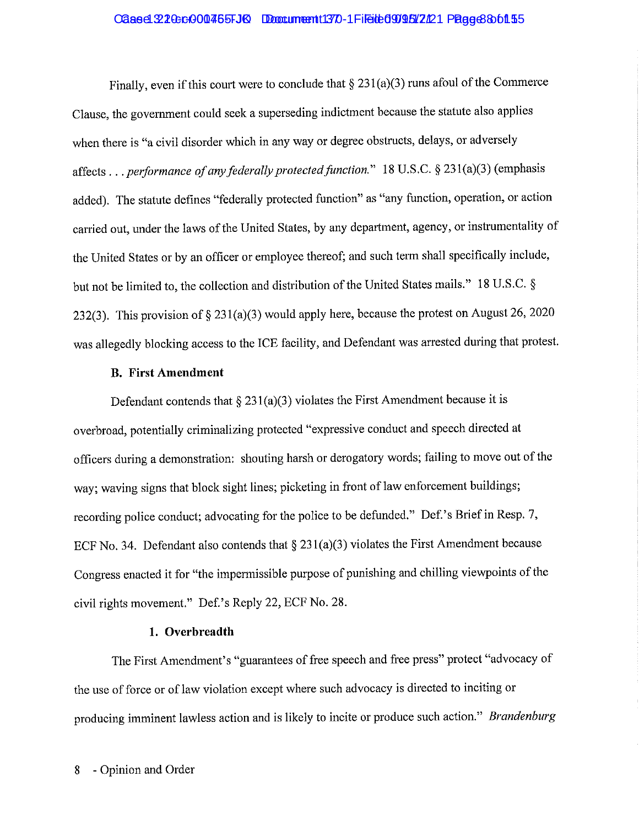#### Cased 220cc000465FJK Document 1370-1 Filed 099522221 Page 360155

Finally, even if this court were to conclude that  $\S 231(a)(3)$  runs afoul of the Commerce Clause, the government could seek a superseding indictment because the statute also applies when there is "a civil disorder which in any way or degree obstructs, delays, or adversely affects ... *performance of any federally protected function."* 18 U.S.C. § 23 l(a)(3)(emphasis added). The statute defines "federally protected function" as "any function, operation, or action carried out, under the laws of the United States, by any department, agency, or instrumentality of the United States or by an officer or employee thereof; and such term shall specifically include, but not be limited to, the collection and distribution of the United States mails." 18 U.S.C. § 232(3). This provision of  $\S 231(a)(3)$  would apply here, because the protest on August 26, 2020 was allegedly blocking access to the ICE facility, and Defendant was arrested during that protest.

#### **B. First Amendment**

Defendant contends that  $\S 231(a)(3)$  violates the First Amendment because it is overbroad, potentially criminalizing protected "expressive conduct and speech directed at officers during a demonstration: shouting harsh or derogatory words; failing to move out of the way; waving signs that block sight lines; picketing in front of law enforcement buildings; recording police conduct; advocating for the police to be defunded." Def.'s Brief in Resp. 7, ECF No. 34. Defendant also contends that  $\S 231(a)(3)$  violates the First Amendment because Congress enacted it for "the impermissible purpose of punishing and chilling viewpoints of the civil rights movement." Def.'s Reply 22, ECF No. 28.

### **1. Overbreadth**

The First Amendment's "guarantees of free speech and free press" protect "advocacy of the use of force or of law violation except where such advocacy is directed to inciting or producing imminent lawless action and is likely to incite or produce such action." *Brandenburg*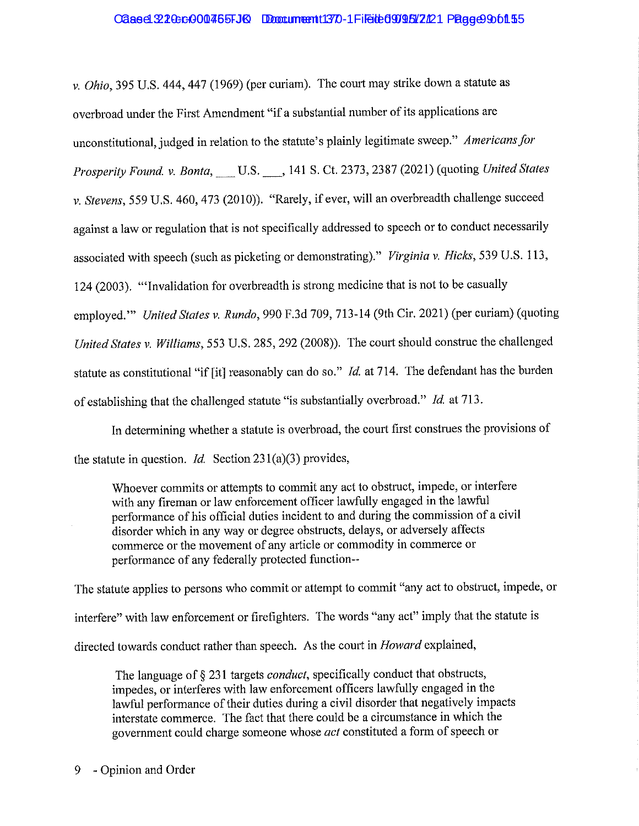#### Cased 220-cr000455-JQ Document 1370-1 Filed 0905/2121 Page 2001 55

*v. Ohio*, 395 U.S. 444, 447 (1969) (per curiam). The court may strike down a statute as overbroad under the First Amendment "if a substantial number of its applications are unconstitutional, judged in relation to the statute's plainly legitimate sweep." *Americans for Prosperity Found. v. Banta,\_* U.S.\_, 141 S. Ct. 2373, 2387 (2021) (quoting *United States v. Stevens,* 559 U.S. 460,473 (2010)). "Rarely, if ever, will an overbreadth challenge succeed against a law or regulation that is not specifically addressed to speech or to conduct necessarily associated with speech (such as picketing or demonstrating)." *Virginia v. Hicks,* 539 U.S. 113, 124 (2003). '"Invalidation for overbreadth is strong medicine that is not to be casually employed." *United States v. Rundo*, 990 F.3d 709, 713-14 (9th Cir. 2021) (per curiam) (quoting United States v. Williams, 553 U.S. 285, 292 (2008)). The court should construe the challenged statute as constitutional "if [it] reasonably can do so." *Id.* at 714. The defendant has the burden of establishing that the challenged statute "is substantially overbroad." *Id.* at 713.

In determining whether a statute is overbroad, the court first construes the provisions of the statute in question. *Id.* Section 23 l(a)(3) provides,

Whoever commits or attempts to commit any act to obstruct, impede, or interfere with any fireman or law enforcement officer lawfully engaged in the lawful performance of his official duties incident to and during the commission of a civil disorder which in any way or degree obstructs, delays, or adversely affects commerce or the movement of any article or commodity in commerce or performance of any federally protected function--

The statute applies to persons who commit or attempt to commit "any act to obstruct, impede, or interfere" with law enforcement or firefighters. The words "any act" imply that the statute is directed towards conduct rather than speech. As the court in *Howard* explained,

The language of§ 231 targets *conduct,* specifically conduct that obstructs, impedes, or interferes with law enforcement officers lawfully engaged in the lawful performance of their duties during a civil disorder that negatively impacts interstate commerce. The fact that there could be a circumstance in which the government could charge someone whose *act* constituted a form of speech or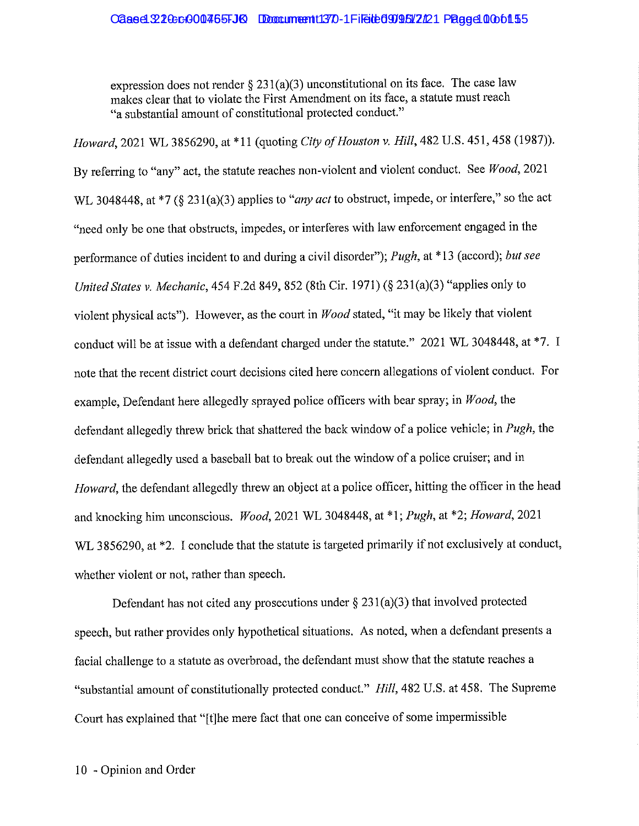#### Cased 320cc000465FJK Document 1370-1 Filed to 0996 2701 Page 40 0 of 15

expression does not render § 231(a)(3) unconstitutional on its face. The case law makes clear that to violate the First Amendment on its face, a statute must reach "a substantial amount of constitutional protected conduct."

*Howard,* 2021 WL 3856290, at\* 11 (quoting *City of Houston v. Hill,* 482 U.S. 451, 458 (1987)). By referring to "any" act, the statute reaches non-violent and violent conduct. See *Wood,* 2021 WL 3048448, at \*7 (§ 231(a)(3) applies to *"any act* to obstruct, impede, or interfere," so the act "need only be one that obstructs, impedes, or interferes with law enforcement engaged in the performance of duties incident to and during a civil disorder"); *Pugh,* at \* 13 (accord); *but see United States v. Mechanic,* 454 F.2d 849,852 (8th Cir. 1971) (§ 231(a)(3) "applies only to violent physical acts"). However, as the court in *Wood* stated, "it may be likely that violent conduct will be at issue with a defendant charged under the statute." 2021 WL 3048448, at \*7. I note that the recent district court decisions cited here concern allegations of violent conduct. For example, Defendant here allegedly sprayed police officers with bear spray; in *Wood,* the defendant allegedly threw brick that shattered the back window of a police vehicle; in *Pugh,* the defendant allegedly used a baseball bat to break out the window of a police cruiser; and in *Howard*, the defendant allegedly threw an object at a police officer, hitting the officer in the head and knocking him unconscious. *Wood,* 2021 WL 3048448, at \*1; *Pugh,* at \*2; *Howard,* 2021 WL 3856290, at \*2. I conclude that the statute is targeted primarily if not exclusively at conduct, whether violent or not, rather than speech.

Defendant has not cited any prosecutions under  $\S 231(a)(3)$  that involved protected speech, but rather provides only hypothetical situations. As noted, when a defendant presents a facial challenge to a statute as overbroad, the defendant must show that the statute reaches a "substantial amount of constitutionally protected conduct." *Hill,* 482 U.S. at 458. The Supreme Coutt has explained that "[t]he mere fact that one can conceive of some impermissible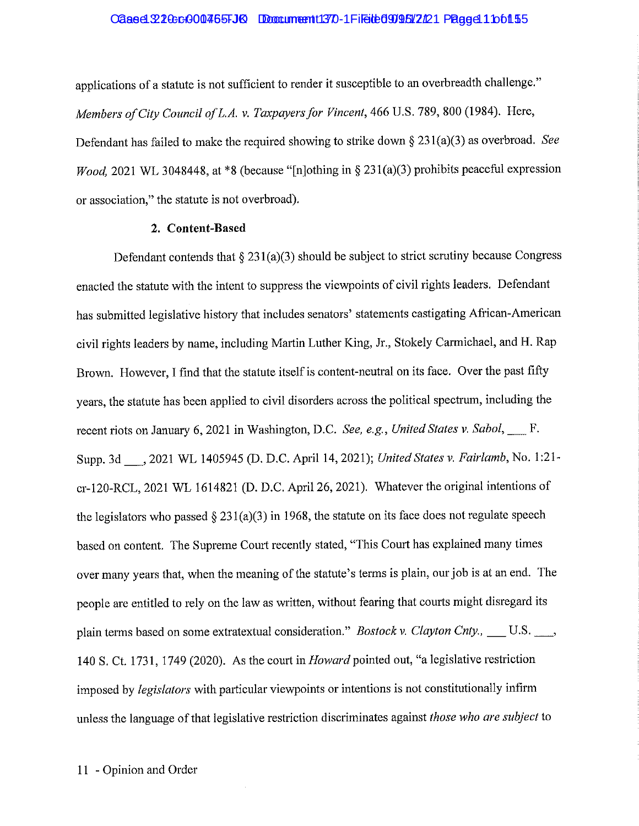#### Cased 320cc000465FJK Document 1370-1 Filed to 0996 2701 Page 41 Dof 15

applications of a statute is not sufficient to render it susceptible to an overbreadth challenge." *Members of City Council of L.A. v. Taxpayers for Vincent, 466 U.S. 789, 800 (1984). Here,* Defendant has failed to make the required showing to strike down § 231 (a)(3) as overbroad. *See Wood*, 2021 WL 3048448, at \*8 (because "[n]othing in § 231(a)(3) prohibits peaceful expression or association," the statute is not overbroad).

#### **2. Content-Based**

Defendant contends that  $\S 231(a)(3)$  should be subject to strict scrutiny because Congress enacted the statute with the intent to suppress the viewpoints of civil rights leaders. Defendant has submitted legislative history that includes senators' statements castigating African-American civil rights leaders by name, including Martin Luther King, Jr., Stokely Carmichael, and H. Rap Brown. However, I find that the statute itself is content-neutral on its face. Over the past fifty years, the statute has been applied to civil disorders across the political spectrum, including the recent riots on January 6, 2021 in Washington, D.C. *See, e.g., United States v. Sabol*, F. Supp. 3d \_, 2021 WL 1405945 (D. D.C. April 14, 2021); *United States v. Fairlamb,* No. l:21 cr-120-RCL, 2021 WL 1614821 (D. D.C. April 26, 2021). Whatever the original intentions of the legislators who passed  $\S 231(a)(3)$  in 1968, the statute on its face does not regulate speech based on content. The Supreme Court recently stated, "This Court has explained many times over many years that, when the meaning of the statute's terms is plain, our job is at an end. The people are entitled to rely on the law as written, without fearing that courts might disregard its plain terms based on some extratextual consideration." *Bostock v. Clayton Cnty.*, \_\_\_ U.S. \_\_\_, 140 S. Ct. 1731, 1749 (2020). As the court in *Howard* pointed out, "a legislative restriction imposed by *legislators* with particular viewpoints or intentions is not constitutionally infirm unless the language of that legislative restriction discriminates against *those who are subject* to

11 - Opinion and Order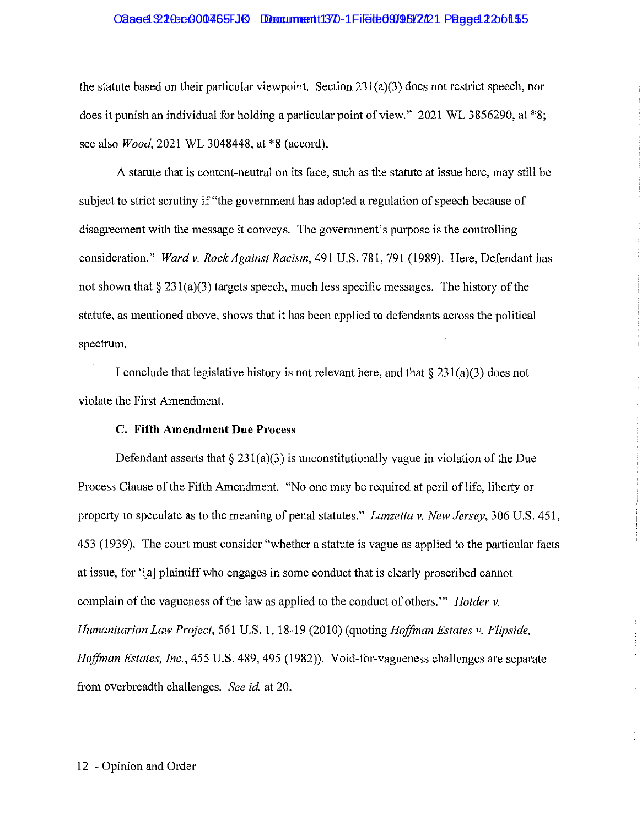#### Cased 220cc000465FJ6 Document 1370-1 Filed 0909502201 Page d 2206155

the statute based on their particular viewpoint. Section  $231(a)(3)$  does not restrict speech, nor does it punish an individual for holding a particular point of view." 2021 WL 3856290, at \*8; see also *Wood,* 2021 WL 3048448, at \*8 (accord).

A statute that is content-neutral on its face, such as the statute at issue here, may still be subject to strict scrutiny if "the government has adopted a regulation of speech because of disagreement with the message it conveys. The government's purpose is the controlling consideration." *Ward v. Rock Against Racism,* 491 U.S. 781, 791 (1989). Here, Defendant has not shown that  $\S 231(a)(3)$  targets speech, much less specific messages. The history of the statute, as mentioned above, shows that it has been applied to defendants across the political spectrum.

I conclude that legislative history is not relevant here, and that  $\S 231(a)(3)$  does not violate the First Amendment.

#### **C. Fifth Amendment Due Process**

Defendant asserts that  $\S 231(a)(3)$  is unconstitutionally vague in violation of the Due Process Clause of the Fifth Amendment. "No one may be required at peril of life, liberty or property to speculate as to the meaning of penal statutes." *Lanzetta v. New Jersey,* 306 U.S. 451, 453 (1939). The court must consider "whether a statute is vague as applied to the particular facts at issue, for '[a] plaintiff who engages in some conduct that is clearly proscribed cannot complain of the vagueness of the law as applied to the conduct of others."' *Holder v. Humanitarian Law Project,* 561 U.S. 1, 18-19 (2010) (quoting *Hoffman Estates* v. *F/ipside, Hoffman Estates, Inc.,* 455 U.S. 489,495 (1982)). Void-for-vagueness challenges are separate from overbreadth challenges. *See id* at 20.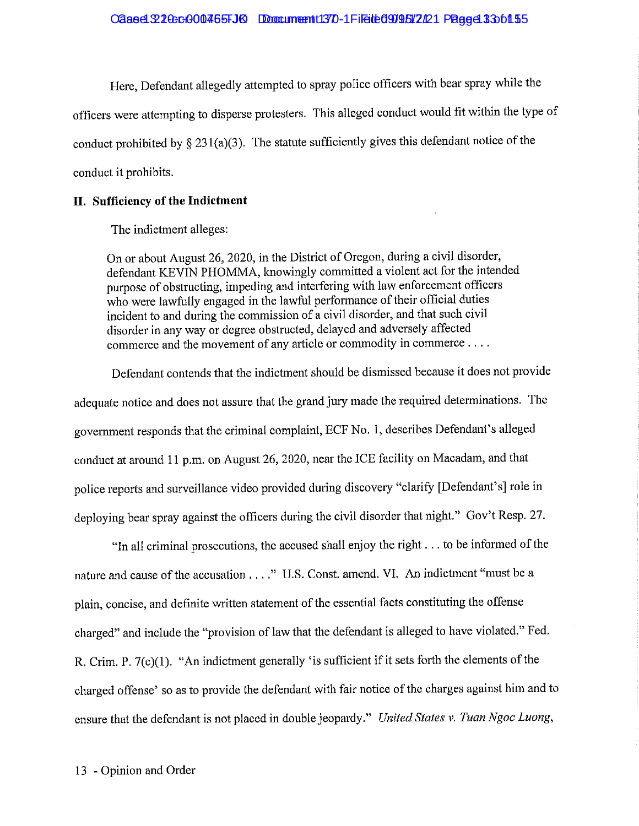#### $C$ aae d $.22$  Ge c $.000$ 465FJK Document 1370-1 File to 099547221 Page 13 36 fl.55

Here, Defendant allegedly attempted to spray police officers with bear spray while the officers were attempting to disperse protesters. This alleged conduct would fit within the type of conduct prohibited by  $\S 231(a)(3)$ . The statute sufficiently gives this defendant notice of the conduct it prohibits.

#### **II. Sufficiency of the Indictment**

The indictment alleges:

On or about August 26, 2020, in the District of Oregon, during a civil disorder, defendant KEVIN PHOMMA, knowingly committed a violent act for the intended purpose of obstructing, impeding and interfering with law enforcement officers who were lawfully engaged in the lawful performance of their official duties incident to and during the commission of a civil disorder, and that such civil disorder in any way or degree obstructed, delayed and adversely affected commerce and the movement of any article or commodity in commerce ....

Defendant contends that the indictment should be dismissed because it does not provide adequate notice and does not assure that the grand jury made the required determinations. The government responds that the criminal complaint, ECF No. 1, describes Defendant's alleged conduct at around 11 p.m. on August 26, 2020, near the ICE facility on Macadam, and that police reports and surveillance video provided during discovery "clarify [Defendant's] role in deploying bear spray against the officers during the civil disorder that night." Gov't Resp. 27.

"In all criminal prosecutions, the accused shall enjoy the right ... to be informed of the nature and cause of the accusation ...." U.S. Const. amend. VI. An indictment "must be a plain, concise, and definite written statement of the essential facts constituting the offense charged" and include the "provision of law that the defendant is alleged to have violated." Fed. R. Crim. P.  $7(c)(1)$ . "An indictment generally 'is sufficient if it sets forth the elements of the charged offense' so as to provide the defendant with fair notice of the charges against him and to ensure that the defendant is not placed in double jeopardy." *United States v. Tuan Ngoc Luong,*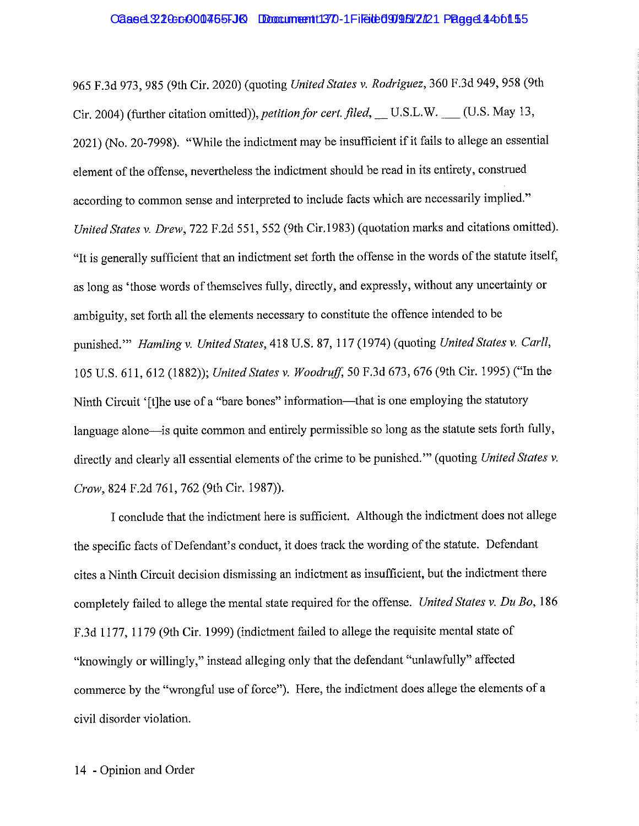#### Cased 3210:0001465FJK Document 1370-1 Filed 0995 2121 Page 44 of 15

965 F.3d 973,985 (9th Cir. 2020) (quoting *United States v. Rodriguez,* 360 F.3d 949,958 (9th Cir. 2004) (further citation omitted)), *petition for cert. filed*, \_\_U.S.L.W. \_\_\_ (U.S. May 13, 2021) (No. 20-7998). "While the indictment may be insufficient if it fails to allege an essential element of the offense, nevertheless the indictment should be read in its entirety, construed according to common sense and interpreted to include facts which are necessarily implied." *United States v. Drew,* 722 F.2d 551, 552 (9th Cir.1983) (quotation marks and citations omitted). "It is generally sufficient that an indictment set forth the offense in the words of the statute itself, as long as 'those words of themselves fully, directly, and expressly, without any uncertainty or ambiguity, set forth all the elements necessary to constitute the offence intended to be punished."" *Hamling v. United States, 418 U.S. 87, 117 (1974)* (quoting *United States v. Carll,* 105 U.S. 611,612 (1882)); *United States v. Woodruff,* 50 F.3d 673,676 (9th Cir. 1995) ("In the Ninth Circuit '[t]he use of a "bare bones" information—that is one employing the statutory language alone—is quite common and entirely permissible so long as the statute sets forth fully, directly and clearly all essential elements of the crime to be punished."' ( quoting *United States v. Crow,* 824 F.2d 761, 762 (9th Cir. 1987)).

I conclude that the indictment here is sufficient. Although the indictment does not allege the specific facts of Defendant's conduct, it does track the wording of the statute. Defendant cites a Ninth Circuit decision dismissing an indictment as insufficient, but the indictment there completely failed to allege the mental state required for the offense. *United States v. Du Bo,* 186 F.3d 1177, 1179 (9th Cir. 1999) (indictment failed to allege the requisite mental state of "knowingly or willingly," instead alleging only that the defendant "unlawfully" affected commerce by the "wrongful use of force"). Here, the indictment does allege the elements of a civil disorder violation.